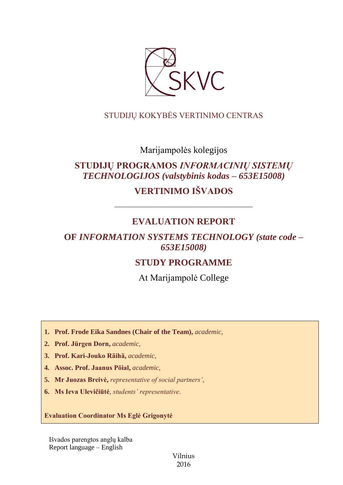

## STUDIJŲ KOKYBĖS VERTINIMO CENTRAS

Marijampolės kolegijos

# **STUDIJŲ PROGRAMOS** *INFORMACINIŲ SISTEMŲ TECHNOLOGIJOS (valstybinis kodas – 653E15008)*

**VERTINIMO IŠVADOS**

# **EVALUATION REPORT**

––––––––––––––––––––––––––––––

## **OF** *INFORMATION SYSTEMS TECHNOLOGY (state code – 653E15008)*

## **STUDY PROGRAMME**

At Marijampolė College

- **1. Prof. Frode Eika Sandnes (Chair of the Team),** *academic,*
- **2. Prof. Jürgen Dorn,** *academic,*
- **3. Prof. Kari-Jouko Räihä,** *academic,*
- **4. Assoc. Prof. Jaanus Pöial,** *academic,*
- **5. Mr Juozas Breivė,** *representative of social partners',*
- **6. Ms Ieva Ulevičiūtė***, students' representative*.

**Evaluation Coordinator Ms Eglė Grigonytė**

Išvados parengtos anglų kalba Report language – English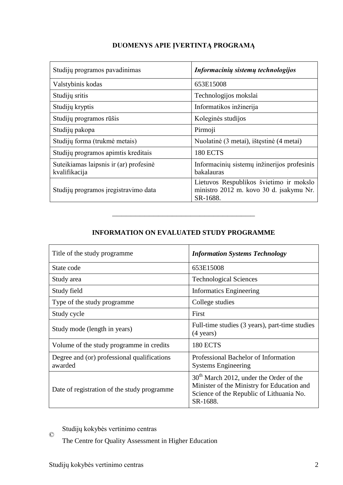| Studijų programos pavadinimas                           | Informacinių sistemų technologijos                                                             |
|---------------------------------------------------------|------------------------------------------------------------------------------------------------|
| Valstybinis kodas                                       | 653E15008                                                                                      |
| Studijų sritis                                          | Technologijos mokslai                                                                          |
| Studijų kryptis                                         | Informatikos inžinerija                                                                        |
| Studijų programos rūšis                                 | Koleginės studijos                                                                             |
| Studijų pakopa                                          | Pirmoji                                                                                        |
| Studijų forma (trukmė metais)                           | Nuolatinė (3 metai), ištęstinė (4 metai)                                                       |
| Studijų programos apimtis kreditais                     | 180 ECTS                                                                                       |
| Suteikiamas laipsnis ir (ar) profesinė<br>kvalifikacija | Informacinių sistemų inžinerijos profesinis<br>bakalauras                                      |
| Studijų programos įregistravimo data                    | Lietuvos Respublikos švietimo ir mokslo<br>ministro 2012 m. kovo 30 d. įsakymu Nr.<br>SR-1688. |

## **DUOMENYS APIE ĮVERTINTĄ PROGRAMĄ**

## **INFORMATION ON EVALUATED STUDY PROGRAMME**

–––––––––––––––––––––––––––––––

| Title of the study programme.                          | <b>Information Systems Technology</b>                                                                                                           |  |
|--------------------------------------------------------|-------------------------------------------------------------------------------------------------------------------------------------------------|--|
| State code                                             | 653E15008                                                                                                                                       |  |
| Study area                                             | <b>Technological Sciences</b>                                                                                                                   |  |
| Study field                                            | <b>Informatics Engineering</b>                                                                                                                  |  |
| Type of the study programme                            | College studies                                                                                                                                 |  |
| Study cycle                                            | First                                                                                                                                           |  |
| Study mode (length in years)                           | Full-time studies (3 years), part-time studies<br>$(4 \text{ years})$                                                                           |  |
| Volume of the study programme in credits               | <b>180 ECTS</b>                                                                                                                                 |  |
| Degree and (or) professional qualifications<br>awarded | Professional Bachelor of Information<br><b>Systems Engineering</b>                                                                              |  |
| Date of registration of the study programme            | $30th$ March 2012, under the Order of the<br>Minister of the Ministry for Education and<br>Science of the Republic of Lithuania No.<br>SR-1688. |  |

© Studijų kokybės vertinimo centras

The Centre for Quality Assessment in Higher Education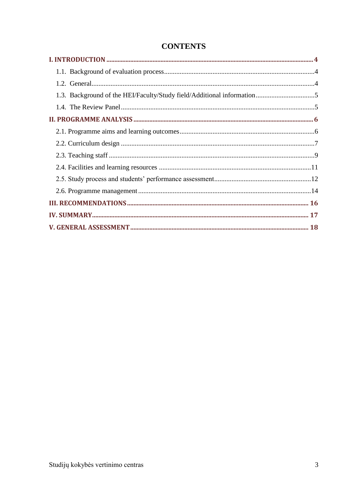| 1.3. Background of the HEI/Faculty/Study field/Additional information5 |  |
|------------------------------------------------------------------------|--|
|                                                                        |  |
|                                                                        |  |
|                                                                        |  |
|                                                                        |  |
|                                                                        |  |
|                                                                        |  |
|                                                                        |  |
|                                                                        |  |
|                                                                        |  |
|                                                                        |  |
|                                                                        |  |

## **CONTENTS**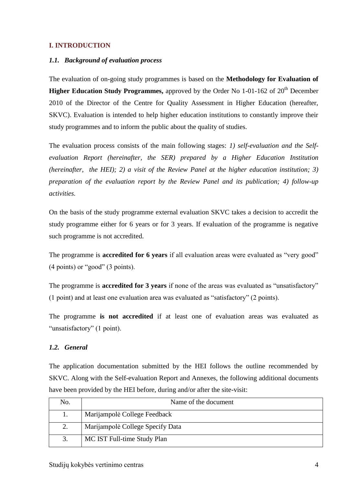## <span id="page-3-1"></span><span id="page-3-0"></span>**I. INTRODUCTION**

### *1.1. Background of evaluation process*

The evaluation of on-going study programmes is based on the **Methodology for Evaluation of Higher Education Study Programmes,** approved by the Order No 1-01-162 of 20<sup>th</sup> December 2010 of the Director of the Centre for Quality Assessment in Higher Education (hereafter, SKVC). Evaluation is intended to help higher education institutions to constantly improve their study programmes and to inform the public about the quality of studies.

The evaluation process consists of the main following stages: *1) self-evaluation and the Selfevaluation Report (hereinafter, the SER) prepared by a Higher Education Institution (hereinafter, the HEI); 2) a visit of the Review Panel at the higher education institution; 3) preparation of the evaluation report by the Review Panel and its publication; 4) follow-up activities.*

On the basis of the study programme external evaluation SKVC takes a decision to accredit the study programme either for 6 years or for 3 years. If evaluation of the programme is negative such programme is not accredited.

The programme is **accredited for 6 years** if all evaluation areas were evaluated as "very good" (4 points) or "good" (3 points).

The programme is **accredited for 3 years** if none of the areas was evaluated as "unsatisfactory" (1 point) and at least one evaluation area was evaluated as "satisfactory" (2 points).

The programme **is not accredited** if at least one of evaluation areas was evaluated as "unsatisfactory" (1 point).

## <span id="page-3-2"></span>*1.2. General*

The application documentation submitted by the HEI follows the outline recommended by SKVC. Along with the Self-evaluation Report and Annexes, the following additional documents have been provided by the HEI before, during and/or after the site-visit:

| No. | Name of the document             |  |
|-----|----------------------------------|--|
|     | Marijampolė College Feedback     |  |
|     | Marijampolė College Specify Data |  |
| 3.  | MC IST Full-time Study Plan      |  |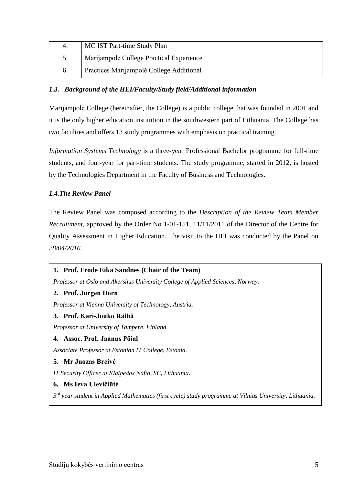| 4.              | MC IST Part-time Study Plan              |
|-----------------|------------------------------------------|
| 5.              | Marijampolė College Practical Experience |
| $\mathfrak{b}.$ | Practices Marijampolė College Additional |

## <span id="page-4-0"></span>*1.3. Background of the HEI/Faculty/Study field/Additional information*

Marijampolė College (hereinafter, the College) is a public college that was founded in 2001 and it is the only higher education institution in the southwestern part of Lithuania. The College has two faculties and offers 13 study programmes with emphasis on practical training.

*Information Systems Technology* is a three-year Professional Bachelor programme for full-time students, and four-year for part-time students. The study programme, started in 2012, is hosted by the Technologies Department in the Faculty of Business and Technologies.

## <span id="page-4-1"></span>*1.4.The Review Panel*

The Review Panel was composed according to the *Description of the Review Team Member Recruitment*, approved by the Order No 1-01-151, 11/11/2011 of the Director of the Centre for Quality Assessment in Higher Education. The visit to the HEI was conducted by the Panel on *28/04/2016*.

## **1. Prof. Frode Eika Sandnes (Chair of the Team)**

*Professor at Oslo and Akershus University College of Applied Sciences, Norway.*

#### **2. Prof. Jürgen Dorn**

*Professor at Vienna University of Technology, Austria.* 

#### **3. Prof. Kari-Jouko Räihä**

*Professor at University of Tampere, Finland.*

#### **4. Assoc. Prof. Jaanus Pöial**

*Associate Professor at Estonian IT College, Estonia.*

#### **5. Mr Juozas Breivė**

*IT Security Officer at Klaipėdos Nafta, SC, Lithuania.*

## **6. Ms Ieva Ulevičiūtė**

*3 rd year student in Applied Mathematics (first cycle) study programme at Vilnius University, Lithuania.*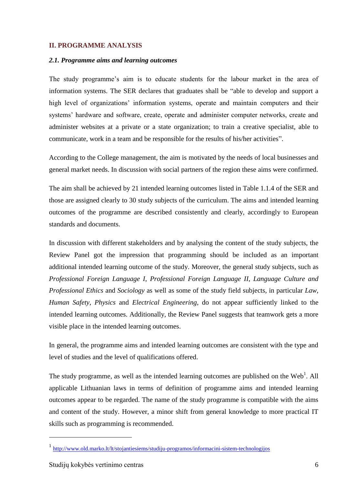### <span id="page-5-1"></span><span id="page-5-0"></span>**II. PROGRAMME ANALYSIS**

#### *2.1. Programme aims and learning outcomes*

The study programme's aim is to educate students for the labour market in the area of information systems. The SER declares that graduates shall be "able to develop and support a high level of organizations' information systems, operate and maintain computers and their systems' hardware and software, create, operate and administer computer networks, create and administer websites at a private or a state organization; to train a creative specialist, able to communicate, work in a team and be responsible for the results of his/her activities".

According to the College management, the aim is motivated by the needs of local businesses and general market needs. In discussion with social partners of the region these aims were confirmed.

The aim shall be achieved by 21 intended learning outcomes listed in Table 1.1.4 of the SER and those are assigned clearly to 30 study subjects of the curriculum. The aims and intended learning outcomes of the programme are described consistently and clearly, accordingly to European standards and documents.

In discussion with different stakeholders and by analysing the content of the study subjects, the Review Panel got the impression that programming should be included as an important additional intended learning outcome of the study. Moreover, the general study subjects, such as *Professional Foreign Language I*, *Professional Foreign Language II*, *Language Culture and Professional Ethics* and *Sociology* as well as some of the study field subjects, in particular *Law*, *Human Safety*, *Physics* and *Electrical Engineering*, do not appear sufficiently linked to the intended learning outcomes. Additionally, the Review Panel suggests that teamwork gets a more visible place in the intended learning outcomes.

In general, the programme aims and intended learning outcomes are consistent with the type and level of studies and the level of qualifications offered.

The study programme, as well as the intended learning outcomes are published on the  $Web<sup>1</sup>$ . All applicable Lithuanian laws in terms of definition of programme aims and intended learning outcomes appear to be regarded. The name of the study programme is compatible with the aims and content of the study. However, a minor shift from general knowledge to more practical IT skills such as programming is recommended.

1

<sup>1</sup> <http://www.old.marko.lt/lt/stojantiesiems/studiju-programos/informacini-sistem-technologijos>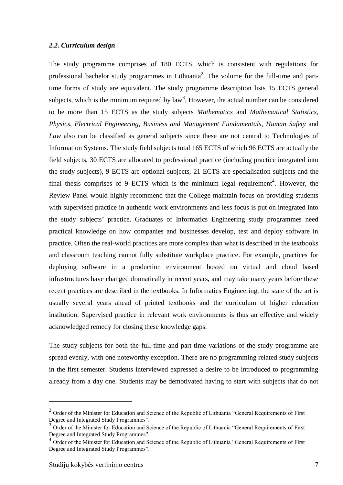#### <span id="page-6-0"></span>*2.2. Curriculum design*

The study programme comprises of 180 ECTS, which is consistent with regulations for professional bachelor study programmes in Lithuania<sup>2</sup>. The volume for the full-time and parttime forms of study are equivalent. The study programme description lists 15 ECTS general subjects, which is the minimum required by  $law<sup>3</sup>$ . However, the actual number can be considered to be more than 15 ECTS as the study subjects *Mathematics* and *Mathematical Statistics*, *Physics*, *Electrical Engineering*, *Business and Management Fundamentals*, *Human Safety* and *Law* also can be classified as general subjects since these are not central to Technologies of Information Systems. The study field subjects total 165 ECTS of which 96 ECTS are actually the field subjects, 30 ECTS are allocated to professional practice (including practice integrated into the study subjects), 9 ECTS are optional subjects, 21 ECTS are specialisation subjects and the final thesis comprises of 9 ECTS which is the minimum legal requirement<sup>4</sup>. However, the Review Panel would highly recommend that the College maintain focus on providing students with supervised practice in authentic work environments and less focus is put on integrated into the study subjects' practice. Graduates of Informatics Engineering study programmes need practical knowledge on how companies and businesses develop, test and deploy software in practice. Often the real-world practices are more complex than what is described in the textbooks and classroom teaching cannot fully substitute workplace practice. For example, practices for deploying software in a production environment hosted on virtual and cloud based infrastructures have changed dramatically in recent years, and may take many years before these recent practices are described in the textbooks. In Informatics Engineering, the state of the art is usually several years ahead of printed textbooks and the curriculum of higher education institution. Supervised practice in relevant work environments is thus an effective and widely acknowledged remedy for closing these knowledge gaps.

The study subjects for both the full-time and part-time variations of the study programme are spread evenly, with one noteworthy exception. There are no programming related study subjects in the first semester. Students interviewed expressed a desire to be introduced to programming already from a day one. Students may be demotivated having to start with subjects that do not

1

 $2$  Order of the Minister for Education and Science of the Republic of Lithuania "General Requirements of First Degree and Integrated Study Programmes".

<sup>&</sup>lt;sup>3</sup> Order of the Minister for Education and Science of the Republic of Lithuania "General Requirements of First Degree and Integrated Study Programmes".

<sup>&</sup>lt;sup>4</sup> Order of the Minister for Education and Science of the Republic of Lithuania "General Requirements of First Degree and Integrated Study Programmes".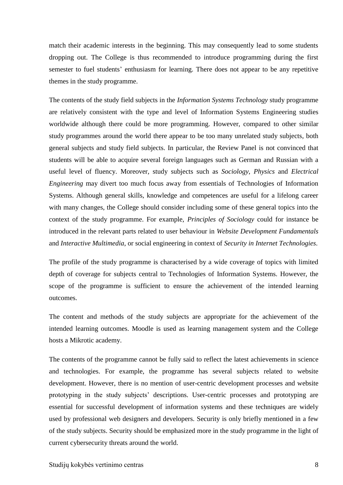match their academic interests in the beginning. This may consequently lead to some students dropping out. The College is thus recommended to introduce programming during the first semester to fuel students' enthusiasm for learning. There does not appear to be any repetitive themes in the study programme.

The contents of the study field subjects in the *Information Systems Technology* study programme are relatively consistent with the type and level of Information Systems Engineering studies worldwide although there could be more programming. However, compared to other similar study programmes around the world there appear to be too many unrelated study subjects, both general subjects and study field subjects. In particular, the Review Panel is not convinced that students will be able to acquire several foreign languages such as German and Russian with a useful level of fluency. Moreover, study subjects such as *Sociology*, *Physics* and *Electrical Engineering* may divert too much focus away from essentials of Technologies of Information Systems. Although general skills, knowledge and competences are useful for a lifelong career with many changes, the College should consider including some of these general topics into the context of the study programme. For example, *Principles of Sociology* could for instance be introduced in the relevant parts related to user behaviour in *Website Development Fundamentals* and *Interactive Multimedia*, or social engineering in context of *Security in Internet Technologies*.

The profile of the study programme is characterised by a wide coverage of topics with limited depth of coverage for subjects central to Technologies of Information Systems. However, the scope of the programme is sufficient to ensure the achievement of the intended learning outcomes.

The content and methods of the study subjects are appropriate for the achievement of the intended learning outcomes. Moodle is used as learning management system and the College hosts a Mikrotic academy.

The contents of the programme cannot be fully said to reflect the latest achievements in science and technologies. For example, the programme has several subjects related to website development. However, there is no mention of user-centric development processes and website prototyping in the study subjects' descriptions. User-centric processes and prototyping are essential for successful development of information systems and these techniques are widely used by professional web designers and developers. Security is only briefly mentioned in a few of the study subjects. Security should be emphasized more in the study programme in the light of current cybersecurity threats around the world.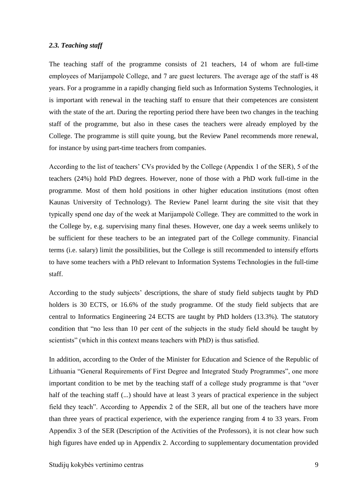#### <span id="page-8-0"></span>*2.3. Teaching staff*

The teaching staff of the programme consists of 21 teachers, 14 of whom are full-time employees of Marijampolė College, and 7 are guest lecturers. The average age of the staff is 48 years. For a programme in a rapidly changing field such as Information Systems Technologies, it is important with renewal in the teaching staff to ensure that their competences are consistent with the state of the art. During the reporting period there have been two changes in the teaching staff of the programme, but also in these cases the teachers were already employed by the College. The programme is still quite young, but the Review Panel recommends more renewal, for instance by using part-time teachers from companies.

According to the list of teachers' CVs provided by the College (Appendix 1 of the SER), 5 of the teachers (24%) hold PhD degrees. However, none of those with a PhD work full-time in the programme. Most of them hold positions in other higher education institutions (most often Kaunas University of Technology). The Review Panel learnt during the site visit that they typically spend one day of the week at Marijampolė College. They are committed to the work in the College by, e.g. supervising many final theses. However, one day a week seems unlikely to be sufficient for these teachers to be an integrated part of the College community. Financial terms (i.e. salary) limit the possibilities, but the College is still recommended to intensify efforts to have some teachers with a PhD relevant to Information Systems Technologies in the full-time staff.

According to the study subjects' descriptions, the share of study field subjects taught by PhD holders is 30 ECTS, or 16.6% of the study programme. Of the study field subjects that are central to Informatics Engineering 24 ECTS are taught by PhD holders (13.3%). The statutory condition that "no less than 10 per cent of the subjects in the study field should be taught by scientists" (which in this context means teachers with PhD) is thus satisfied.

In addition, according to the Order of the Minister for Education and Science of the Republic of Lithuania "General Requirements of First Degree and Integrated Study Programmes", one more important condition to be met by the teaching staff of a college study programme is that "over half of the teaching staff (...) should have at least 3 years of practical experience in the subject field they teach". According to Appendix 2 of the SER, all but one of the teachers have more than three years of practical experience, with the experience ranging from 4 to 33 years. From Appendix 3 of the SER (Description of the Activities of the Professors), it is not clear how such high figures have ended up in Appendix 2. According to supplementary documentation provided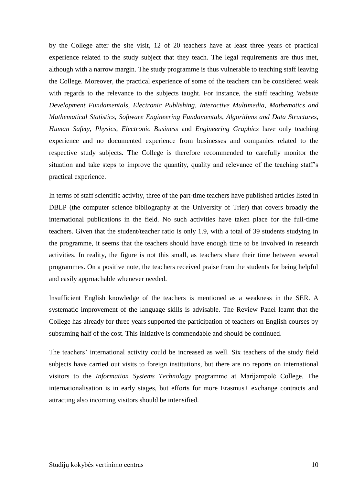by the College after the site visit, 12 of 20 teachers have at least three years of practical experience related to the study subject that they teach. The legal requirements are thus met, although with a narrow margin. The study programme is thus vulnerable to teaching staff leaving the College. Moreover, the practical experience of some of the teachers can be considered weak with regards to the relevance to the subjects taught. For instance, the staff teaching *Website Development Fundamentals*, *Electronic Publishing*, *Interactive Multimedia*, *Mathematics and Mathematical Statistics*, *Software Engineering Fundamentals*, *Algorithms and Data Structures*, *Human Safety*, *Physics*, *Electronic Business* and *Engineering Graphics* have only teaching experience and no documented experience from businesses and companies related to the respective study subjects. The College is therefore recommended to carefully monitor the situation and take steps to improve the quantity, quality and relevance of the teaching staff's practical experience.

In terms of staff scientific activity, three of the part-time teachers have published articles listed in DBLP (the computer science bibliography at the University of Trier) that covers broadly the international publications in the field. No such activities have taken place for the full-time teachers. Given that the student/teacher ratio is only 1.9, with a total of 39 students studying in the programme, it seems that the teachers should have enough time to be involved in research activities. In reality, the figure is not this small, as teachers share their time between several programmes. On a positive note, the teachers received praise from the students for being helpful and easily approachable whenever needed.

Insufficient English knowledge of the teachers is mentioned as a weakness in the SER. A systematic improvement of the language skills is advisable. The Review Panel learnt that the College has already for three years supported the participation of teachers on English courses by subsuming half of the cost. This initiative is commendable and should be continued.

The teachers' international activity could be increased as well. Six teachers of the study field subjects have carried out visits to foreign institutions, but there are no reports on international visitors to the *Information Systems Technology* programme at Marijampolė College. The internationalisation is in early stages, but efforts for more Erasmus+ exchange contracts and attracting also incoming visitors should be intensified.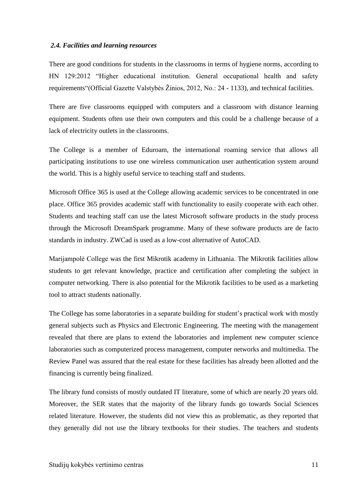#### <span id="page-10-0"></span>*2.4. Facilities and learning resources*

There are good conditions for students in the classrooms in terms of hygiene norms, according to HN 129:2012 "Higher educational institution. General occupational health and safety requirements"(Official Gazette Valstybės Žinios, 2012, No.: 24 - 1133), and technical facilities.

There are five classrooms equipped with computers and a classroom with distance learning equipment. Students often use their own computers and this could be a challenge because of a lack of electricity outlets in the classrooms.

The College is a member of Eduroam, the international roaming service that allows all participating institutions to use one wireless communication user authentication system around the world. This is a highly useful service to teaching staff and students.

Microsoft Office 365 is used at the College allowing academic services to be concentrated in one place. Office 365 provides academic staff with functionality to easily cooperate with each other. Students and teaching staff can use the latest Microsoft software products in the study process through the Microsoft DreamSpark programme. Many of these software products are de facto standards in industry. ZWCad is used as a low-cost alternative of AutoCAD.

Marijampolė College was the first Mikrotik academy in Lithuania. The Mikrotik facilities allow students to get relevant knowledge, practice and certification after completing the subject in computer networking. There is also potential for the Mikrotik facilities to be used as a marketing tool to attract students nationally.

The College has some laboratories in a separate building for student's practical work with mostly general subjects such as Physics and Electronic Engineering. The meeting with the management revealed that there are plans to extend the laboratories and implement new computer science laboratories such as computerized process management, computer networks and multimedia. The Review Panel was assured that the real estate for these facilities has already been allotted and the financing is currently being finalized.

The library fund consists of mostly outdated IT literature, some of which are nearly 20 years old. Moreover, the SER states that the majority of the library funds go towards Social Sciences related literature. However, the students did not view this as problematic, as they reported that they generally did not use the library textbooks for their studies. The teachers and students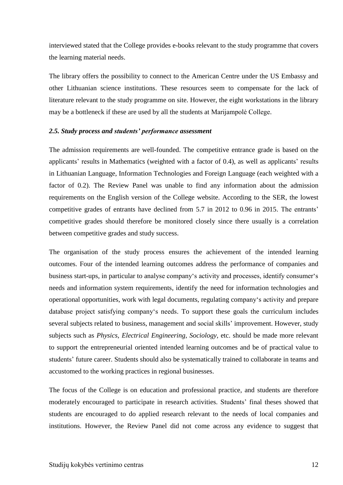interviewed stated that the College provides e-books relevant to the study programme that covers the learning material needs.

The library offers the possibility to connect to the American Centre under the US Embassy and other Lithuanian science institutions. These resources seem to compensate for the lack of literature relevant to the study programme on site. However, the eight workstations in the library may be a bottleneck if these are used by all the students at Marijampolė College.

#### <span id="page-11-0"></span>*2.5. Study process and students' performance assessment*

The admission requirements are well-founded. The competitive entrance grade is based on the applicants' results in Mathematics (weighted with a factor of 0.4), as well as applicants' results in Lithuanian Language, Information Technologies and Foreign Language (each weighted with a factor of 0.2). The Review Panel was unable to find any information about the admission requirements on the English version of the College website. According to the SER, the lowest competitive grades of entrants have declined from 5.7 in 2012 to 0.96 in 2015. The entrants' competitive grades should therefore be monitored closely since there usually is a correlation between competitive grades and study success.

The organisation of the study process ensures the achievement of the intended learning outcomes. Four of the intended learning outcomes address the performance of companies and business start-ups, in particular to analyse company's activity and processes, identify consumer's needs and information system requirements, identify the need for information technologies and operational opportunities, work with legal documents, regulating company's activity and prepare database project satisfying company's needs. To support these goals the curriculum includes several subjects related to business, management and social skills' improvement. However, study subjects such as *Physics*, *Electrical Engineering*, *Sociology*, etc. should be made more relevant to support the entrepreneurial oriented intended learning outcomes and be of practical value to students' future career. Students should also be systematically trained to collaborate in teams and accustomed to the working practices in regional businesses.

The focus of the College is on education and professional practice, and students are therefore moderately encouraged to participate in research activities. Students' final theses showed that students are encouraged to do applied research relevant to the needs of local companies and institutions. However, the Review Panel did not come across any evidence to suggest that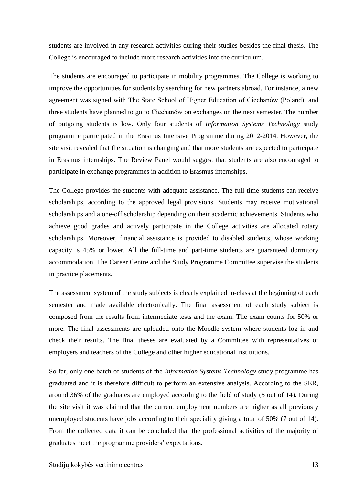students are involved in any research activities during their studies besides the final thesis. The College is encouraged to include more research activities into the curriculum.

The students are encouraged to participate in mobility programmes. The College is working to improve the opportunities for students by searching for new partners abroad. For instance, a new agreement was signed with The State School of Higher Education of Ciechanów (Poland), and three students have planned to go to Ciechanów on exchanges on the next semester. The number of outgoing students is low. Only four students of *Information Systems Technology* study programme participated in the Erasmus Intensive Programme during 2012-2014. However, the site visit revealed that the situation is changing and that more students are expected to participate in Erasmus internships. The Review Panel would suggest that students are also encouraged to participate in exchange programmes in addition to Erasmus internships.

The College provides the students with adequate assistance. The full-time students can receive scholarships, according to the approved legal provisions. Students may receive motivational scholarships and a one-off scholarship depending on their academic achievements. Students who achieve good grades and actively participate in the College activities are allocated rotary scholarships. Moreover, financial assistance is provided to disabled students, whose working capacity is 45% or lower. All the full-time and part-time students are guaranteed dormitory accommodation. The Career Centre and the Study Programme Committee supervise the students in practice placements.

The assessment system of the study subjects is clearly explained in-class at the beginning of each semester and made available electronically. The final assessment of each study subject is composed from the results from intermediate tests and the exam. The exam counts for 50% or more. The final assessments are uploaded onto the Moodle system where students log in and check their results. The final theses are evaluated by a Committee with representatives of employers and teachers of the College and other higher educational institutions.

So far, only one batch of students of the *Information Systems Technology* study programme has graduated and it is therefore difficult to perform an extensive analysis. According to the SER, around 36% of the graduates are employed according to the field of study (5 out of 14). During the site visit it was claimed that the current employment numbers are higher as all previously unemployed students have jobs according to their speciality giving a total of 50% (7 out of 14). From the collected data it can be concluded that the professional activities of the majority of graduates meet the programme providers' expectations.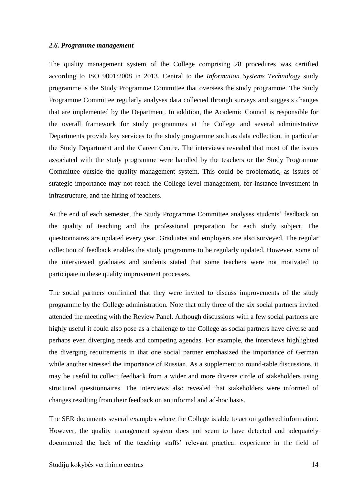#### <span id="page-13-0"></span>*2.6. Programme management*

The quality management system of the College comprising 28 procedures was certified according to ISO 9001:2008 in 2013. Central to the *Information Systems Technology* study programme is the Study Programme Committee that oversees the study programme. The Study Programme Committee regularly analyses data collected through surveys and suggests changes that are implemented by the Department. In addition, the Academic Council is responsible for the overall framework for study programmes at the College and several administrative Departments provide key services to the study programme such as data collection, in particular the Study Department and the Career Centre. The interviews revealed that most of the issues associated with the study programme were handled by the teachers or the Study Programme Committee outside the quality management system. This could be problematic, as issues of strategic importance may not reach the College level management, for instance investment in infrastructure, and the hiring of teachers.

At the end of each semester, the Study Programme Committee analyses students' feedback on the quality of teaching and the professional preparation for each study subject. The questionnaires are updated every year. Graduates and employers are also surveyed. The regular collection of feedback enables the study programme to be regularly updated. However, some of the interviewed graduates and students stated that some teachers were not motivated to participate in these quality improvement processes.

The social partners confirmed that they were invited to discuss improvements of the study programme by the College administration. Note that only three of the six social partners invited attended the meeting with the Review Panel. Although discussions with a few social partners are highly useful it could also pose as a challenge to the College as social partners have diverse and perhaps even diverging needs and competing agendas. For example, the interviews highlighted the diverging requirements in that one social partner emphasized the importance of German while another stressed the importance of Russian. As a supplement to round-table discussions, it may be useful to collect feedback from a wider and more diverse circle of stakeholders using structured questionnaires. The interviews also revealed that stakeholders were informed of changes resulting from their feedback on an informal and ad-hoc basis.

The SER documents several examples where the College is able to act on gathered information. However, the quality management system does not seem to have detected and adequately documented the lack of the teaching staffs' relevant practical experience in the field of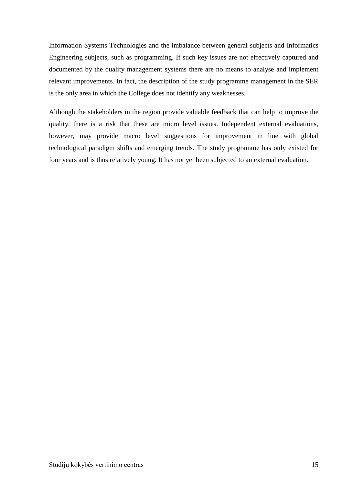Information Systems Technologies and the imbalance between general subjects and Informatics Engineering subjects, such as programming. If such key issues are not effectively captured and documented by the quality management systems there are no means to analyse and implement relevant improvements. In fact, the description of the study programme management in the SER is the only area in which the College does not identify any weaknesses.

Although the stakeholders in the region provide valuable feedback that can help to improve the quality, there is a risk that these are micro level issues. Independent external evaluations, however, may provide macro level suggestions for improvement in line with global technological paradigm shifts and emerging trends. The study programme has only existed for four years and is thus relatively young. It has not yet been subjected to an external evaluation.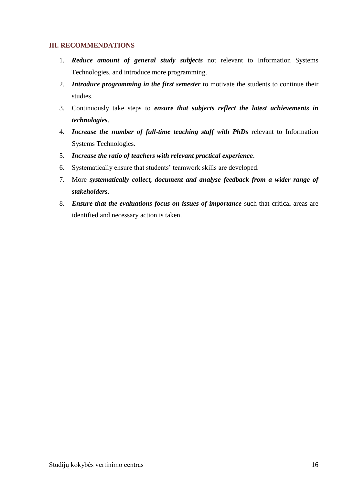## <span id="page-15-0"></span>**III. RECOMMENDATIONS**

- 1. *Reduce amount of general study subjects* not relevant to Information Systems Technologies, and introduce more programming.
- 2. *Introduce programming in the first semester* to motivate the students to continue their studies.
- 3. Continuously take steps to *ensure that subjects reflect the latest achievements in technologies*.
- 4. *Increase the number of full-time teaching staff with PhDs* relevant to Information Systems Technologies.
- 5. *Increase the ratio of teachers with relevant practical experience*.
- 6. Systematically ensure that students' teamwork skills are developed.
- 7. More *systematically collect, document and analyse feedback from a wider range of stakeholders*.
- 8. *Ensure that the evaluations focus on issues of importance* such that critical areas are identified and necessary action is taken.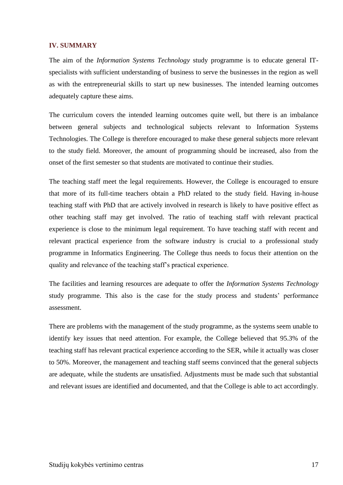#### <span id="page-16-0"></span>**IV. SUMMARY**

The aim of the *Information Systems Technology* study programme is to educate general ITspecialists with sufficient understanding of business to serve the businesses in the region as well as with the entrepreneurial skills to start up new businesses. The intended learning outcomes adequately capture these aims.

The curriculum covers the intended learning outcomes quite well, but there is an imbalance between general subjects and technological subjects relevant to Information Systems Technologies. The College is therefore encouraged to make these general subjects more relevant to the study field. Moreover, the amount of programming should be increased, also from the onset of the first semester so that students are motivated to continue their studies.

The teaching staff meet the legal requirements. However, the College is encouraged to ensure that more of its full-time teachers obtain a PhD related to the study field. Having in-house teaching staff with PhD that are actively involved in research is likely to have positive effect as other teaching staff may get involved. The ratio of teaching staff with relevant practical experience is close to the minimum legal requirement. To have teaching staff with recent and relevant practical experience from the software industry is crucial to a professional study programme in Informatics Engineering. The College thus needs to focus their attention on the quality and relevance of the teaching staff's practical experience.

The facilities and learning resources are adequate to offer the *Information Systems Technology* study programme. This also is the case for the study process and students' performance assessment.

There are problems with the management of the study programme, as the systems seem unable to identify key issues that need attention. For example, the College believed that 95.3% of the teaching staff has relevant practical experience according to the SER, while it actually was closer to 50%. Moreover, the management and teaching staff seems convinced that the general subjects are adequate, while the students are unsatisfied. Adjustments must be made such that substantial and relevant issues are identified and documented, and that the College is able to act accordingly.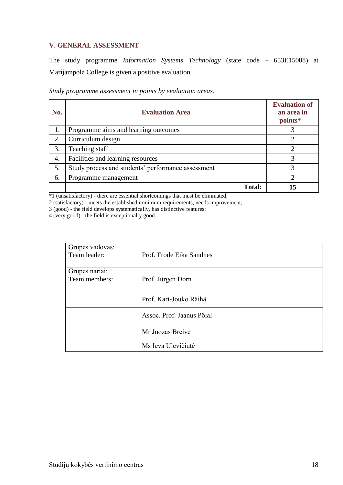## <span id="page-17-0"></span>**V. GENERAL ASSESSMENT**

The study programme *Information Systems Technology* (state code – 653E15008) at Marijampolė College is given a positive evaluation.

| No. | <b>Evaluation Area</b>                             | <b>Evaluation of</b><br>an area in<br>points* |
|-----|----------------------------------------------------|-----------------------------------------------|
| 1.  | Programme aims and learning outcomes               |                                               |
| 2.  | Curriculum design                                  |                                               |
| 3.  | Teaching staff                                     |                                               |
| 4.  | Facilities and learning resources                  | 3                                             |
| 5.  | Study process and students' performance assessment | 3                                             |
| 6.  | Programme management                               | 2                                             |
|     | <b>Total:</b>                                      | 15                                            |

*Study programme assessment in points by evaluation areas*.

\*1 (unsatisfactory) - there are essential shortcomings that must be eliminated;

2 (satisfactory) - meets the established minimum requirements, needs improvement;

3 (good) - the field develops systematically, has distinctive features;

4 (very good) - the field is exceptionally good.

| Grupės vadovas:<br>Team leader: | Prof. Frode Eika Sandnes  |
|---------------------------------|---------------------------|
| Grupės nariai:<br>Team members: | Prof. Jürgen Dorn         |
|                                 | Prof. Kari-Jouko Räihä    |
|                                 | Assoc. Prof. Jaanus Pöial |
|                                 | Mr Juozas Breivė          |
|                                 | Ms Ieva Ulevičiūtė        |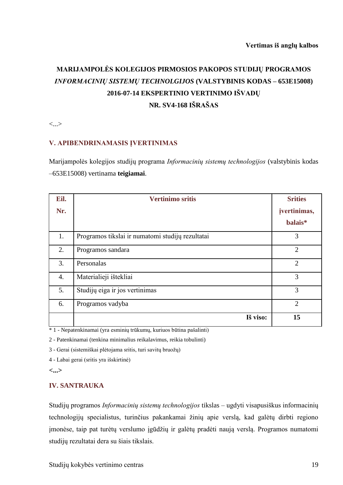# **MARIJAMPOLĖS KOLEGIJOS PIRMOSIOS PAKOPOS STUDIJŲ PROGRAMOS**  *INFORMACINIŲ SISTEMŲ TECHNOLGIJOS* **(VALSTYBINIS KODAS – 653E15008) 2016-07-14 EKSPERTINIO VERTINIMO IŠVADŲ NR. SV4-168 IŠRAŠAS**

<...>

#### **V. APIBENDRINAMASIS ĮVERTINIMAS**

Marijampolės kolegijos studijų programa *Informacinių sistemų technologijos* (valstybinis kodas –653E15008) vertinama **teigiamai**.

| Eil. | <b>Vertinimo sritis</b>                          | <b>Srities</b> |
|------|--------------------------------------------------|----------------|
| Nr.  |                                                  | jvertinimas,   |
|      |                                                  | balais*        |
| 1.   | Programos tikslai ir numatomi studijų rezultatai | 3              |
| 2.   | Programos sandara                                | $\overline{2}$ |
| 3.   | Personalas                                       | $\overline{2}$ |
| 4.   | Materialieji ištekliai                           | 3              |
| 5.   | Studijų eiga ir jos vertinimas                   | 3              |
| 6.   | Programos vadyba                                 | $\overline{2}$ |
|      | Iš viso:                                         | 15             |

\* 1 - Nepatenkinamai (yra esminių trūkumų, kuriuos būtina pašalinti)

2 - Patenkinamai (tenkina minimalius reikalavimus, reikia tobulinti)

3 - Gerai (sistemiškai plėtojama sritis, turi savitų bruožų)

4 - Labai gerai (sritis yra išskirtinė)

**<...>**

### **IV. SANTRAUKA**

Studijų programos *Informacinių sistemų technologijos* tikslas – ugdyti visapusiškus informacinių technologijų specialistus, turinčius pakankamai žinių apie verslą, kad galėtų dirbti regiono įmonėse, taip pat turėtų verslumo įgūdžių ir galėtų pradėti naują verslą. Programos numatomi studijų rezultatai dera su šiais tikslais.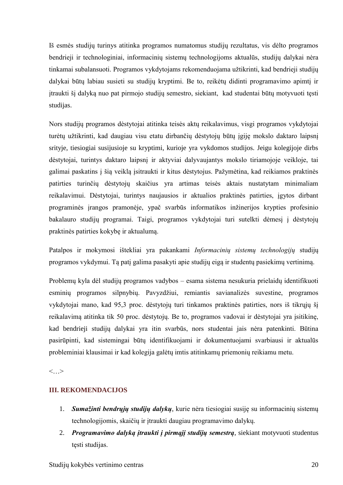Iš esmės studijų turinys atitinka programos numatomus studijų rezultatus, vis dėlto programos bendrieji ir technologiniai, informacinių sistemų technologijoms aktualūs, studijų dalykai nėra tinkamai subalansuoti. Programos vykdytojams rekomenduojama užtikrinti, kad bendrieji studijų dalykai būtų labiau susieti su studijų kryptimi. Be to, reikėtų didinti programavimo apimtį ir įtraukti šį dalyką nuo pat pirmojo studijų semestro, siekiant, kad studentai būtų motyvuoti tęsti studijas.

Nors studijų programos dėstytojai atitinka teisės aktų reikalavimus, visgi programos vykdytojai turėtų užtikrinti, kad daugiau visu etatu dirbančių dėstytojų būtų įgiję mokslo daktaro laipsnį srityje, tiesiogiai susijusioje su kryptimi, kurioje yra vykdomos studijos. Jeigu kolegijoje dirbs dėstytojai, turintys daktaro laipsnį ir aktyviai dalyvaujantys mokslo tiriamojoje veikloje, tai galimai paskatins į šią veiklą įsitraukti ir kitus dėstytojus. Pažymėtina, kad reikiamos praktinės patirties turinčių dėstytojų skaičius yra artimas teisės aktais nustatytam minimaliam reikalavimui. Dėstytojai, turintys naujausios ir aktualios praktinės patirties, įgytos dirbant programinės įrangos pramonėje, ypač svarbūs informatikos inžinerijos krypties profesinio bakalauro studijų programai. Taigi, programos vykdytojai turi sutelkti dėmesį į dėstytojų praktinės patirties kokybę ir aktualumą.

Patalpos ir mokymosi ištekliai yra pakankami *Informacinių sistemų technologijų* studijų programos vykdymui. Tą patį galima pasakyti apie studijų eigą ir studentų pasiekimų vertinimą.

Problemų kyla dėl studijų programos vadybos – esama sistema nesukuria prielaidų identifikuoti esminių programos silpnybių. Pavyzdžiui, remiantis savianalizės suvestine, programos vykdytojai mano, kad 95,3 proc. dėstytojų turi tinkamos praktinės patirties, nors iš tikrųjų šį reikalavimą atitinka tik 50 proc. dėstytojų. Be to, programos vadovai ir dėstytojai yra įsitikinę, kad bendrieji studijų dalykai yra itin svarbūs, nors studentai jais nėra patenkinti. Būtina pasirūpinti, kad sistemingai būtų identifikuojami ir dokumentuojami svarbiausi ir aktualūs probleminiai klausimai ir kad kolegija galėtų imtis atitinkamų priemonių reikiamu metu.

 $\langle \cdot, \cdot \rangle$ 

## **III. REKOMENDACIJOS**

- 1. *Sumažinti bendrųjų studijų dalykų*, kurie nėra tiesiogiai susiję su informacinių sistemų technologijomis, skaičių ir įtraukti daugiau programavimo dalykų.
- 2. *Programavimo dalyką įtraukti į pirmąjį studijų semestrą*, siekiant motyvuoti studentus tęsti studijas.